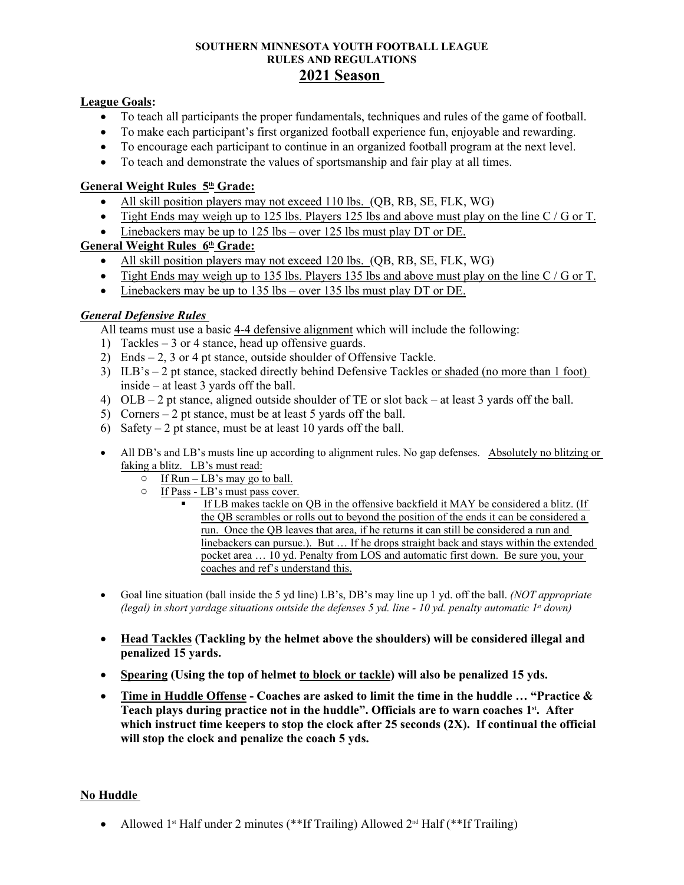#### **SOUTHERN MINNESOTA YOUTH FOOTBALL LEAGUE RULES AND REGULATIONS 2021 Season**

#### **League Goals:**

- To teach all participants the proper fundamentals, techniques and rules of the game of football.
- To make each participant's first organized football experience fun, enjoyable and rewarding.
- To encourage each participant to continue in an organized football program at the next level.
- To teach and demonstrate the values of sportsmanship and fair play at all times.

#### **General Weight Rules 5th Grade:**

- All skill position players may not exceed 110 lbs. (QB, RB, SE, FLK, WG)
- Tight Ends may weigh up to 125 lbs. Players 125 lbs and above must play on the line C / G or T.
- $\bullet$  Linebackers may be up to 125 lbs over 125 lbs must play DT or DE.

#### **General Weight Rules 6th Grade:**

- All skill position players may not exceed 120 lbs. (QB, RB, SE, FLK, WG)
- Tight Ends may weigh up to 135 lbs. Players 135 lbs and above must play on the line  $C/G$  or T.
- Linebackers may be up to 135 lbs over 135 lbs must play DT or DE.

#### *General Defensive Rules*

All teams must use a basic 4-4 defensive alignment which will include the following:

- 1) Tackles 3 or 4 stance, head up offensive guards.
- 2) Ends 2, 3 or 4 pt stance, outside shoulder of Offensive Tackle.
- 3) ILB's 2 pt stance, stacked directly behind Defensive Tackles or shaded (no more than 1 foot) inside – at least 3 yards off the ball.
- 4) OLB 2 pt stance, aligned outside shoulder of TE or slot back at least 3 yards off the ball.
- 5) Corners 2 pt stance, must be at least 5 yards off the ball.
- 6) Safety 2 pt stance, must be at least 10 yards off the ball.
- All DB's and LB's musts line up according to alignment rules. No gap defenses. Absolutely no blitzing or faking a blitz. LB's must read:
	- $\circ$  If Run LB's may go to ball.
	- o If Pass LB's must pass cover.
		- If LB makes tackle on QB in the offensive backfield it MAY be considered a blitz. (If the QB scrambles or rolls out to beyond the position of the ends it can be considered a run. Once the QB leaves that area, if he returns it can still be considered a run and linebackers can pursue.). But … If he drops straight back and stays within the extended pocket area … 10 yd. Penalty from LOS and automatic first down. Be sure you, your coaches and ref's understand this.
- Goal line situation (ball inside the 5 yd line) LB's, DB's may line up 1 yd. off the ball. *(NOT appropriate (legal) in short yardage situations outside the defenses 5 yd. line - 10 yd. penalty automatic 1st down)*
- **Head Tackles (Tackling by the helmet above the shoulders) will be considered illegal and penalized 15 yards.**
- **Spearing (Using the top of helmet to block or tackle) will also be penalized 15 yds.**
- **Time in Huddle Offense Coaches are asked to limit the time in the huddle … "Practice & Teach plays during practice not in the huddle". Officials are to warn coaches 1st. After which instruct time keepers to stop the clock after 25 seconds (2X). If continual the official will stop the clock and penalize the coach 5 yds.**

#### **No Huddle**

• Allowed 1<sup>st</sup> Half under 2 minutes (\*\*If Trailing) Allowed  $2<sup>nd</sup>$  Half (\*\*If Trailing)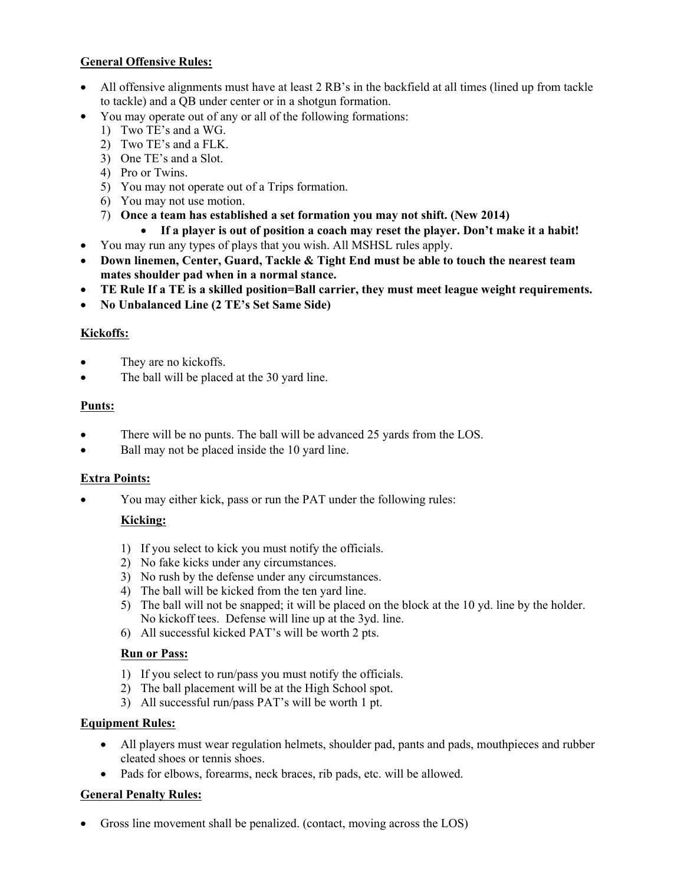# **General Offensive Rules:**

- All offensive alignments must have at least 2 RB's in the backfield at all times (lined up from tackle to tackle) and a QB under center or in a shotgun formation.
- You may operate out of any or all of the following formations:
	- 1) Two TE's and a WG.
	- 2) Two TE's and a FLK.
	- 3) One TE's and a Slot.
	- 4) Pro or Twins.
	- 5) You may not operate out of a Trips formation.
	- 6) You may not use motion.
	- 7) **Once a team has established a set formation you may not shift. (New 2014)**
		- **If a player is out of position a coach may reset the player. Don't make it a habit!**
- You may run any types of plays that you wish. All MSHSL rules apply.
- **Down linemen, Center, Guard, Tackle & Tight End must be able to touch the nearest team mates shoulder pad when in a normal stance.**
- **TE Rule If a TE is a skilled position=Ball carrier, they must meet league weight requirements.**
- **No Unbalanced Line (2 TE's Set Same Side)**

# **Kickoffs:**

- They are no kickoffs.
- The ball will be placed at the 30 yard line.

# **Punts:**

- There will be no punts. The ball will be advanced 25 yards from the LOS.
- Ball may not be placed inside the 10 yard line.

# **Extra Points:**

You may either kick, pass or run the PAT under the following rules:

# **Kicking:**

- 1) If you select to kick you must notify the officials.
- 2) No fake kicks under any circumstances.
- 3) No rush by the defense under any circumstances.
- 4) The ball will be kicked from the ten yard line.
- 5) The ball will not be snapped; it will be placed on the block at the 10 yd. line by the holder. No kickoff tees. Defense will line up at the 3yd. line.
- 6) All successful kicked PAT's will be worth 2 pts.

#### **Run or Pass:**

- 1) If you select to run/pass you must notify the officials.
- 2) The ball placement will be at the High School spot.
- 3) All successful run/pass PAT's will be worth 1 pt.

# **Equipment Rules:**

- All players must wear regulation helmets, shoulder pad, pants and pads, mouthpieces and rubber cleated shoes or tennis shoes.
- Pads for elbows, forearms, neck braces, rib pads, etc. will be allowed.

# **General Penalty Rules:**

Gross line movement shall be penalized. (contact, moving across the LOS)